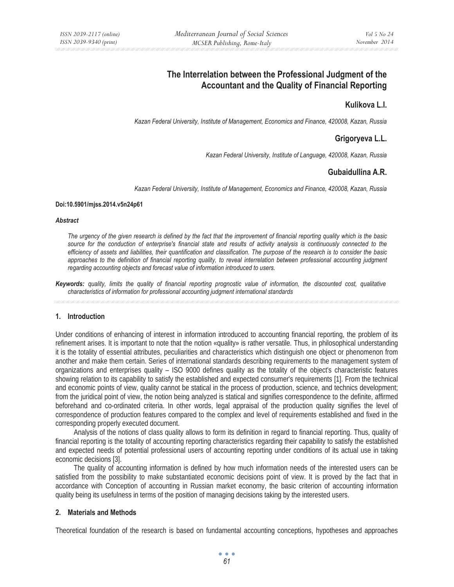# **The Interrelation between the Professional Judgment of the Accountant and the Quality of Financial Reporting**

## **Kulikova L.I.**

*Kazan Federal University, Institute of Management, Economics and Finance, 420008, Kazan, Russia* 

## **Grigoryeva L.L.**

*Kazan Federal University, Institute of Language, 420008, Kazan, Russia* 

## **Gubaidullina A.R.**

*Kazan Federal University, Institute of Management, Economics and Finance, 420008, Kazan, Russia* 

#### **Doi:10.5901/mjss.2014.v5n24p61**

#### *Abstract*

*The urgency of the given research is defined by the fact that the improvement of financial reporting quality which is the basic source for the conduction of enterprise's financial state and results of activity analysis is continuously connected to the efficiency of assets and liabilities, their quantification and classification. The purpose of the research is to consider the basic*  approaches to the definition of financial reporting quality, to reveal interrelation between professional accounting judgment *regarding accounting objects and forecast value of information introduced to users.* 

*Keywords: quality, limits the quality of financial reporting prognostic value of information, the discounted cost, qualitative characteristics of information for professional accounting judgment international standards* 

## **1. Introduction**

Under conditions of enhancing of interest in information introduced to accounting financial reporting, the problem of its refinement arises. It is important to note that the notion «quality» is rather versatile. Thus, in philosophical understanding it is the totality of essential attributes, peculiarities and characteristics which distinguish one object or phenomenon from another and make them certain. Series of international standards describing requirements to the management system of organizations and enterprises quality – ISO 9000 defines quality as the totality of the object's characteristic features showing relation to its capability to satisfy the established and expected consumer's requirements [1]. From the technical and economic points of view, quality cannot be statical in the process of production, science, and technics development; from the juridical point of view, the notion being analyzed is statical and signifies correspondence to the definite, affirmed beforehand and co-ordinated criteria. In other words, legal appraisal of the production quality signifies the level of correspondence of production features compared to the complex and level of requirements established and fixed in the corresponding properly executed document.

Analysis of the notions of class quality allows to form its definition in regard to financial reporting. Thus, quality of financial reporting is the totality of accounting reporting characteristics regarding their capability to satisfy the established and expected needs of potential professional users of accounting reporting under conditions of its actual use in taking economic decisions [3].

The quality of accounting information is defined by how much information needs of the interested users can be satisfied from the possibility to make substantiated economic decisions point of view. It is proved by the fact that in accordance with Conception of accounting in Russian market economy, the basic criterion of accounting information quality being its usefulness in terms of the position of managing decisions taking by the interested users.

## **2. Materials and Methods**

Theoretical foundation of the research is based on fundamental accounting conceptions, hypotheses and approaches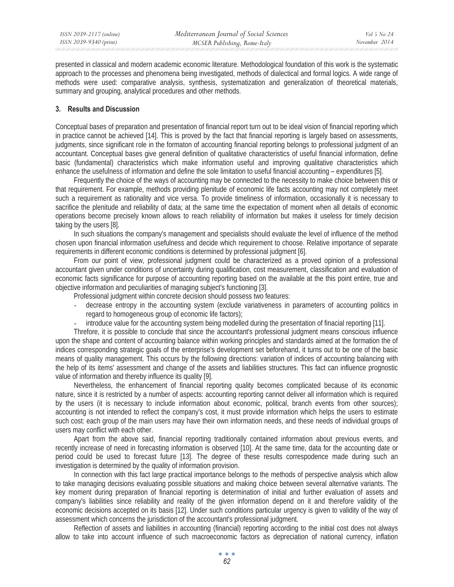presented in classical and modern academic economic literature. Methodological foundation of this work is the systematic approach to the processes and phenomena being investigated, methods of dialectical and formal logics. A wide range of methods were used: comparative analysis, synthesis, systematization and generalization of theoretical materials, summary and grouping, analytical procedures and other methods.

## **3. Results and Discussion**

Conceptual bases of preparation and presentation of financial report turn out to be ideal vision of financial reporting which in practice cannot be achieved [14]. This is proved by the fact that financial reporting is largely based on assessments, judgments, since significant role in the formaton of accounting financial reporting belongs to professional judgment of an accountant. Conceptual bases give general definition of qualitative characteristics of useful financial information, define basic (fundamental) characteristics which make information useful and improving qualitative characteristics which enhance the usefulness of information and define the sole limitation to useful financial accounting – expenditures [5].

Frequently the choice of the ways of accounting may be connected to the necessity to make choice between this or that requirement. For example, methods providing plenitude of economic life facts accounting may not completely meet such a requirement as rationality and vice versa. To provide timeliness of information, occasionally it is necessary to sacrifice the plenitude and reliability of data; at the same time the expectation of moment when all details of economic operations become precisely known allows to reach reliability of information but makes it useless for timely decision taking by the users [8].

In such situations the company's management and specialists should evaluate the level of influence of the method chosen upon financial information usefulness and decide which requirement to choose. Relative importance of separate requirements in different economic conditions is determined by professional judgment [6].

From our point of view, professional judgment could be characterized as a proved opinion of a professional accountant given under conditions of uncertainty during qualification, cost measurement, classification and evaluation of economic facts significance for purpose of accounting reporting based on the available at the this point entire, true and objective information and peculiarities of managing subject's functioning [3].

Professional judgment within concrete decision should possess two features:

- decrease entropy in the accounting system (exclude variativeness in parameters of accounting politics in regard to homogeneous group of economic life factors);
- introduce value for the accounting system being modelled during the presentation of finacial reporting [11].

Threfore, it is possible to conclude that since the accountant's professional judgment means conscious influence upon the shape and content of accounting balance within working principles and standards aimed at the formation the of indices corresponding strategic goals of the enterprise's development set beforehand, it turns out to be one of the basic means of quality management. This occurs by the following directions: variation of indices of accounting balancing with the help of its items' assessment and change of the assets and liabilities structures. This fact can influence prognostic value of information and thereby influence its quality [9].

Nevertheless, the enhancement of financial reporting quality becomes complicated because of its economic nature, since it is restricted by a number of aspects: accounting reporting cannot deliver all information which is required by the users (it is necessary to include information about economic, political, branch events from other sources); accounting is not intended to reflect the company's cost, it must provide information which helps the users to estimate such cost: each group of the main users may have their own information needs, and these needs of individual groups of users may conflict with each other.

Apart from the above said, financial reporting traditionally contained information about previous events, and recently increase of need in forecasting information is observed [10]. At the same time, data for the accounting date or period could be used to forecast future [13]. The degree of these results correspodence made during such an investigation is determined by the quality of information provision.

In connection with this fact large practical importance belongs to the methods of perspective analysis which allow to take managing decisions evaluating possible situations and making choice between several alternative variants. The key moment during preparation of financial reporting is determination of initial and further evaluation of assets and company's liabilities since reliability and reality of the given information depend on it and therefore validity of the economic decisions accepted on its basis [12]. Under such conditions particular urgency is given to validity of the way of assessment which concerns the jurisdiction of the accountant's professional judgment.

Reflection of assets and liabilities in accounting (financial) reporting according to the initial cost does not always allow to take into account influence of such macroeconomic factors as depreciation of national currency, inflation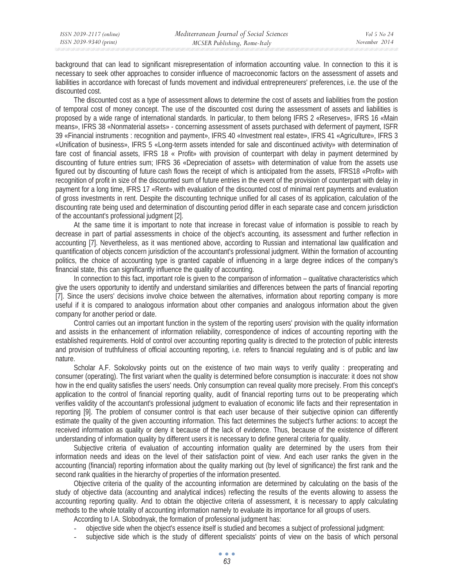background that can lead to significant misrepresentation of information accounting value. In connection to this it is necessary to seek other approaches to consider influence of macroeconomic factors on the assessment of assets and liabilities in accordance with forecast of funds movement and individual entrepreneurers' preferences, i.e. the use of the discounted cost.

The discounted cost as a type of assessment allows to determine the cost of assets and liabilities from the postion of temporal cost of money concept. The use of the discounted cost during the assessment of assets and liabilities is proposed by a wide range of international standards. In particular, to them belong IFRS 2 «Reserves», IFRS 16 «Main means», IFRS 38 «Nonmaterial assets» - concerning assessment of assets purchased with deferment of payment, ISFR 39 «Financial instruments : recognition and payment», IFRS 40 «Investment real estate», IFRS 41 «Agriculture», IFRS 3 «Unification of business», IFRS 5 «Long-term assets intended for sale and discontinued activity» with determination of fare cost of financial assets, IFRS 18 « Profit» with provision of counterpart with delay in payment determined by discounting of future entries sum; IFRS 36 «Depreciation of assets» with determination of value from the assets use figured out by discounting of future cash flows the receipt of which is anticipated from the assets, IFRS18 «Profit» with recognition of profit in size of the discounted sum of future entries in the event of the provision of counterpart with delay in payment for a long time, IFRS 17 «Rent» with evaluation of the discounted cost of minimal rent payments and evaluation of gross investments in rent. Despite the discounting technique unified for all cases of its application, calculation of the discounting rate being used and determination of discounting period differ in each separate case and concern jurisdiction of the accountant's professional judgment [2].

At the same time it is important to note that increase in forecast value of information is possible to reach by decrease in part of partial assessments in choice of the object's accounting, its assessment and further reflection in accounting [7]. Nevertheless, as it was mentioned above, according to Russian and international law qualification and quantification of objects concern jurisdiction of the accountant's professional judgment. Within the formation of accounting politics, the choice of accounting type is granted capable of influencing in a large degree indices of the company's financial state, this can significantly influence the quality of accounting.

In connection to this fact, important role is given to the comparison of information – qualitative characteristics which give the users opportunity to identify and understand similarities and differences between the parts of financial reporting [7]. Since the users' decisions involve choice between the alternatives, information about reporting company is more useful if it is compared to analogous information about other companies and analogous information about the given company for another period or date.

Control carries out an important function in the system of the reporting users' provision with the quality information and assists in the enhancement of information reliability, correspondence of indices of accounting reporting with the established requirements. Hold of control over accounting reporting quality is directed to the protection of public interests and provision of truthfulness of official accounting reporting, i.e. refers to financial regulating and is of public and law nature.

Scholar A.F. Sokolovsky points out on the existence of two main ways to verify quality : preoperating and consumer (operating). The first variant when the quality is determined before consumption is inaccurate: it does not show how in the end quality satisfies the users' needs. Only consumption can reveal quality more precisely. From this concept's application to the control of financial reporting quality, audit of financial reporting turns out to be preoperating which verifies validity of the accountant's professional judgment to evaluation of economic life facts and their representation in reporting [9]. The problem of consumer control is that each user because of their subjective opinion can differently estimate the quality of the given accounting information. This fact determines the subject's further actions: to accept the received information as quality or deny it because of the lack of evidence. Thus, because of the existence of different understanding of information quality by different users it is necessary to define general criteria for quality.

Subjective criteria of evaluation of accounting information quality are determined by the users from their information needs and ideas on the level of their satisfaction point of view. And each user ranks the given in the accounting (financial) reporting information about the quality marking out (by level of significance) the first rank and the second rank qualities in the hierarchy of properties of the information presented.

Objective criteria of the quality of the accounting information are determined by calculating on the basis of the study of objective data (accounting and analytical indices) reflecting the results of the events allowing to assess the accounting reporting quality. And to obtain the objective criteria of assessment, it is necessary to apply calculating methods to the whole totality of accounting information namely to evaluate its importance for all groups of users.

According to I.A. Slobodnyak, the formation of professional judgment has:

- objective side when the object's essence itself is studied and becomes a subject of professional judgment:
- subjective side which is the study of different specialists' points of view on the basis of which personal